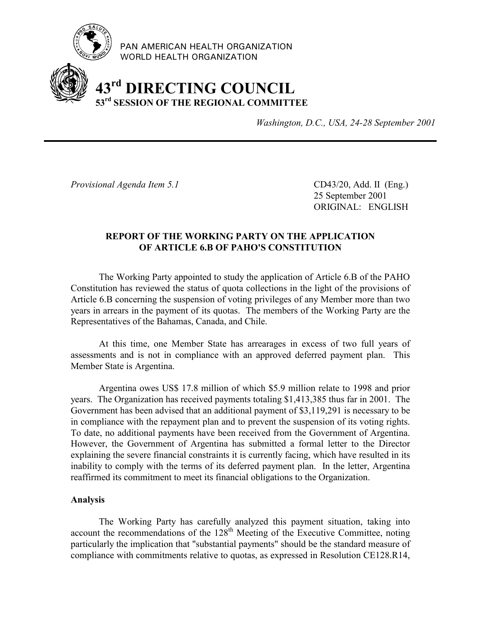

PAN AMERICAN HEALTH ORGANIZATION WORLD HEALTH ORGANIZATION

# **43rd DIRECTING COUNCIL 53rd SESSION OF THE REGIONAL COMMITTEE**

*Washington, D.C., USA, 24-28 September 2001*

*Provisional Agenda Item 5.1* CD43/20, Add. II (Eng.)

25 September 2001 ORIGINAL: ENGLISH

# **REPORT OF THE WORKING PARTY ON THE APPLICATION OF ARTICLE 6.B OF PAHO'S CONSTITUTION**

The Working Party appointed to study the application of Article 6.B of the PAHO Constitution has reviewed the status of quota collections in the light of the provisions of Article 6.B concerning the suspension of voting privileges of any Member more than two years in arrears in the payment of its quotas. The members of the Working Party are the Representatives of the Bahamas, Canada, and Chile.

At this time, one Member State has arrearages in excess of two full years of assessments and is not in compliance with an approved deferred payment plan. This Member State is Argentina.

Argentina owes US\$ 17.8 million of which \$5.9 million relate to 1998 and prior years. The Organization has received payments totaling \$1,413,385 thus far in 2001. The Government has been advised that an additional payment of \$3,119,291 is necessary to be in compliance with the repayment plan and to prevent the suspension of its voting rights. To date, no additional payments have been received from the Government of Argentina. However, the Government of Argentina has submitted a formal letter to the Director explaining the severe financial constraints it is currently facing, which have resulted in its inability to comply with the terms of its deferred payment plan. In the letter, Argentina reaffirmed its commitment to meet its financial obligations to the Organization.

# **Analysis**

The Working Party has carefully analyzed this payment situation, taking into account the recommendations of the 128<sup>th</sup> Meeting of the Executive Committee, noting particularly the implication that "substantial payments" should be the standard measure of compliance with commitments relative to quotas, as expressed in Resolution CE128.R14,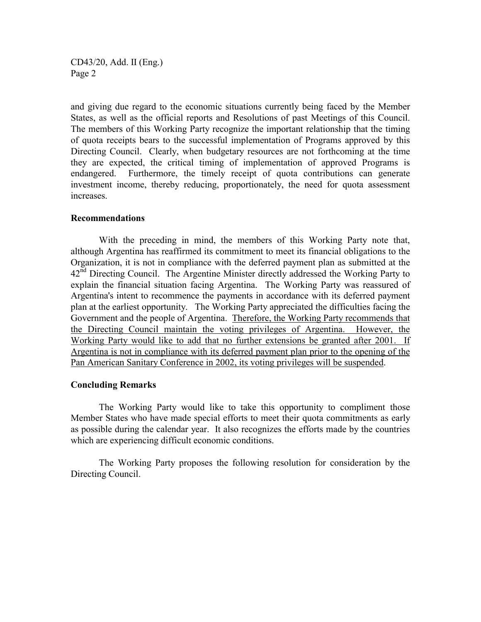CD43/20, Add. II (Eng.) Page 2

and giving due regard to the economic situations currently being faced by the Member States, as well as the official reports and Resolutions of past Meetings of this Council. The members of this Working Party recognize the important relationship that the timing of quota receipts bears to the successful implementation of Programs approved by this Directing Council. Clearly, when budgetary resources are not forthcoming at the time they are expected, the critical timing of implementation of approved Programs is endangered. Furthermore, the timely receipt of quota contributions can generate investment income, thereby reducing, proportionately, the need for quota assessment increases.

#### **Recommendations**

With the preceding in mind, the members of this Working Party note that, although Argentina has reaffirmed its commitment to meet its financial obligations to the Organization, it is not in compliance with the deferred payment plan as submitted at the 42<sup>nd</sup> Directing Council. The Argentine Minister directly addressed the Working Party to explain the financial situation facing Argentina. The Working Party was reassured of Argentina's intent to recommence the payments in accordance with its deferred payment plan at the earliest opportunity. The Working Party appreciated the difficulties facing the Government and the people of Argentina. Therefore, the Working Party recommends that the Directing Council maintain the voting privileges of Argentina. However, the Working Party would like to add that no further extensions be granted after 2001. If Argentina is not in compliance with its deferred payment plan prior to the opening of the Pan American Sanitary Conference in 2002, its voting privileges will be suspended.

#### **Concluding Remarks**

The Working Party would like to take this opportunity to compliment those Member States who have made special efforts to meet their quota commitments as early as possible during the calendar year. It also recognizes the efforts made by the countries which are experiencing difficult economic conditions.

The Working Party proposes the following resolution for consideration by the Directing Council.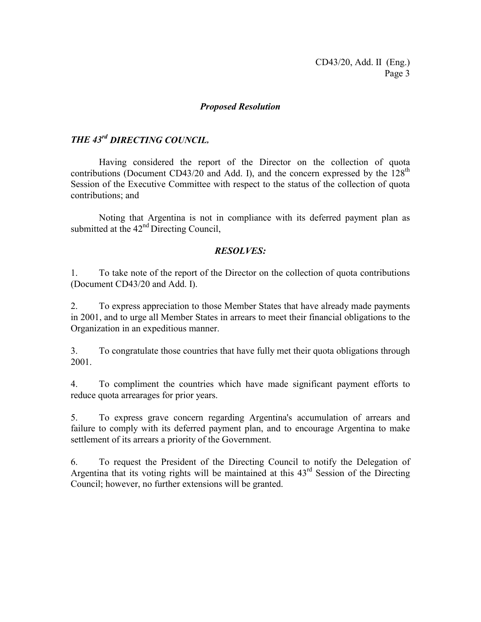### *Proposed Resolution*

# *THE 43rd DIRECTING COUNCIL,*

Having considered the report of the Director on the collection of quota contributions (Document CD43/20 and Add. I), and the concern expressed by the  $128<sup>th</sup>$ Session of the Executive Committee with respect to the status of the collection of quota contributions; and

Noting that Argentina is not in compliance with its deferred payment plan as submitted at the 42<sup>nd</sup> Directing Council,

## *RESOLVES:*

1. To take note of the report of the Director on the collection of quota contributions (Document CD43/20 and Add. I).

2. To express appreciation to those Member States that have already made payments in 2001, and to urge all Member States in arrears to meet their financial obligations to the Organization in an expeditious manner.

3. To congratulate those countries that have fully met their quota obligations through 2001.

4. To compliment the countries which have made significant payment efforts to reduce quota arrearages for prior years.

5. To express grave concern regarding Argentina's accumulation of arrears and failure to comply with its deferred payment plan, and to encourage Argentina to make settlement of its arrears a priority of the Government.

6. To request the President of the Directing Council to notify the Delegation of Argentina that its voting rights will be maintained at this 43rd Session of the Directing Council; however, no further extensions will be granted.